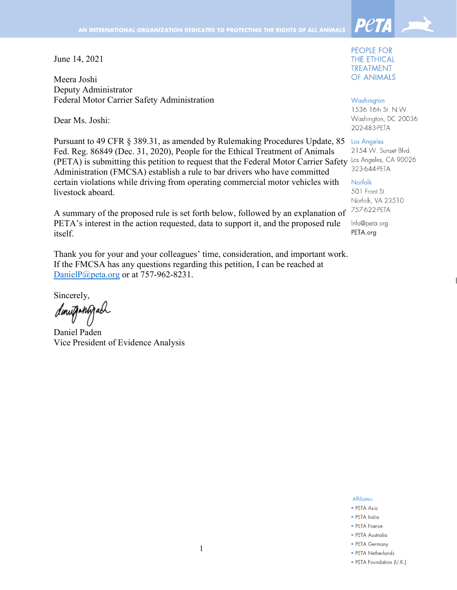June 14, 2021

Meera Joshi Deputy Administrator Federal Motor Carrier Safety Administration

Dear Ms. Joshi:

Pursuant to 49 CFR § 389.31, as amended by Rulemaking Procedures Update, 85 Los Angeles Fed. Reg. 86849 (Dec. 31, 2020), People for the Ethical Treatment of Animals (PETA) is submitting this petition to request that the Federal Motor Carrier Safety Los Angeles, CA 90026 Administration (FMCSA) establish a rule to bar drivers who have committed certain violations while driving from operating commercial motor vehicles with livestock aboard.

A summary of the proposed rule is set forth below, followed by an explanation of PETA's interest in the action requested, data to support it, and the proposed rule itself.

Thank you for your and your colleagues' time, consideration, and important work. If the FMCSA has any questions regarding this petition, I can be reached at DanielP@peta.org or at 757-962-8231.

Sincerely,

dinugahhyad

Daniel Paden Vice President of Evidence Analysis

**PEOPLE FOR** THE ETHICAL **TREATMENT** OF ANIMALS

**Peta** 

Washington

1536 16th St. N.W. Washington, DC 20036 202-483-PETA

2154 W. Sunset Blvd. 323-644-PETA

#### Norfolk

501 Front St. Norfolk, VA 23510 757-622-PETA

Info@peta.org PETA.org

#### Affiliates:

- PETA Asia
- PETA India
- PETA France
- PETA Australia
- PETA Germany
- PETA Netherlands
- PETA Foundation (U.K.)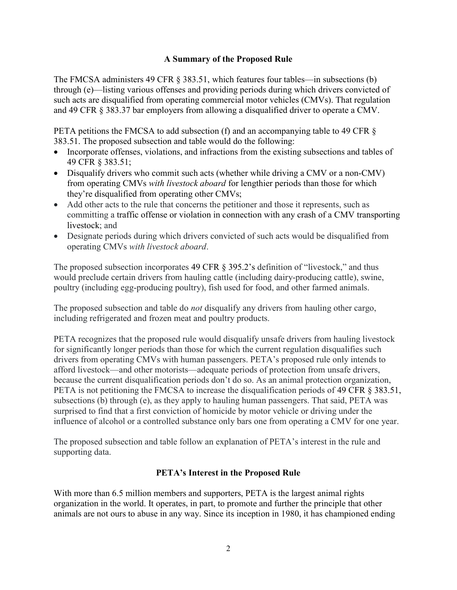### A Summary of the Proposed Rule

The FMCSA administers 49 CFR § 383.51, which features four tables—in subsections (b) through (e)—listing various offenses and providing periods during which drivers convicted of such acts are disqualified from operating commercial motor vehicles (CMVs). That regulation and 49 CFR § 383.37 bar employers from allowing a disqualified driver to operate a CMV.

PETA petitions the FMCSA to add subsection (f) and an accompanying table to 49 CFR § 383.51. The proposed subsection and table would do the following:

- Incorporate offenses, violations, and infractions from the existing subsections and tables of 49 CFR § 383.51;
- Disqualify drivers who commit such acts (whether while driving a CMV or a non-CMV) from operating CMVs with livestock aboard for lengthier periods than those for which they're disqualified from operating other CMVs;
- Add other acts to the rule that concerns the petitioner and those it represents, such as committing a traffic offense or violation in connection with any crash of a CMV transporting livestock; and
- Designate periods during which drivers convicted of such acts would be disqualified from operating CMVs with livestock aboard.

The proposed subsection incorporates 49 CFR § 395.2's definition of "livestock," and thus would preclude certain drivers from hauling cattle (including dairy-producing cattle), swine, poultry (including egg-producing poultry), fish used for food, and other farmed animals.

The proposed subsection and table do *not* disqualify any drivers from hauling other cargo, including refrigerated and frozen meat and poultry products.

PETA recognizes that the proposed rule would disqualify unsafe drivers from hauling livestock for significantly longer periods than those for which the current regulation disqualifies such drivers from operating CMVs with human passengers. PETA's proposed rule only intends to afford livestock—and other motorists—adequate periods of protection from unsafe drivers, because the current disqualification periods don't do so. As an animal protection organization, PETA is not petitioning the FMCSA to increase the disqualification periods of 49 CFR § 383.51, subsections (b) through (e), as they apply to hauling human passengers. That said, PETA was surprised to find that a first conviction of homicide by motor vehicle or driving under the influence of alcohol or a controlled substance only bars one from operating a CMV for one year.

The proposed subsection and table follow an explanation of PETA's interest in the rule and supporting data.

# PETA's Interest in the Proposed Rule

With more than 6.5 million members and supporters, PETA is the largest animal rights organization in the world. It operates, in part, to promote and further the principle that other animals are not ours to abuse in any way. Since its inception in 1980, it has championed ending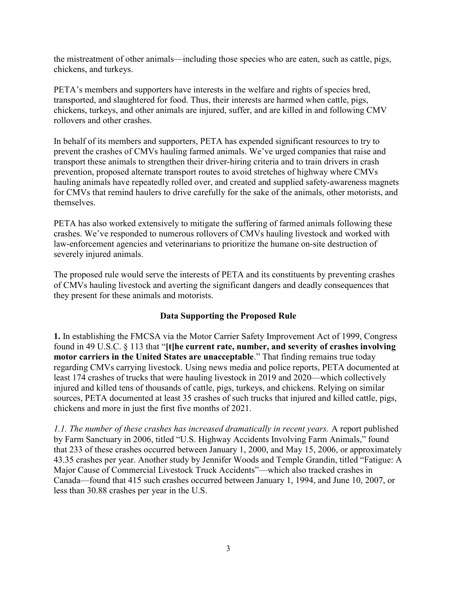the mistreatment of other animals—including those species who are eaten, such as cattle, pigs, chickens, and turkeys.

PETA's members and supporters have interests in the welfare and rights of species bred, transported, and slaughtered for food. Thus, their interests are harmed when cattle, pigs, chickens, turkeys, and other animals are injured, suffer, and are killed in and following CMV rollovers and other crashes.

In behalf of its members and supporters, PETA has expended significant resources to try to prevent the crashes of CMVs hauling farmed animals. We've urged companies that raise and transport these animals to strengthen their driver-hiring criteria and to train drivers in crash prevention, proposed alternate transport routes to avoid stretches of highway where CMVs hauling animals have repeatedly rolled over, and created and supplied safety-awareness magnets for CMVs that remind haulers to drive carefully for the sake of the animals, other motorists, and themselves.

PETA has also worked extensively to mitigate the suffering of farmed animals following these crashes. We've responded to numerous rollovers of CMVs hauling livestock and worked with law-enforcement agencies and veterinarians to prioritize the humane on-site destruction of severely injured animals.

The proposed rule would serve the interests of PETA and its constituents by preventing crashes of CMVs hauling livestock and averting the significant dangers and deadly consequences that they present for these animals and motorists.

# Data Supporting the Proposed Rule

1. In establishing the FMCSA via the Motor Carrier Safety Improvement Act of 1999, Congress found in 49 U.S.C. § 113 that "[t]he current rate, number, and severity of crashes involving motor carriers in the United States are unacceptable." That finding remains true today regarding CMVs carrying livestock. Using news media and police reports, PETA documented at least 174 crashes of trucks that were hauling livestock in 2019 and 2020—which collectively injured and killed tens of thousands of cattle, pigs, turkeys, and chickens. Relying on similar sources, PETA documented at least 35 crashes of such trucks that injured and killed cattle, pigs, chickens and more in just the first five months of 2021.

1.1. The number of these crashes has increased dramatically in recent years. A report published by Farm Sanctuary in 2006, titled "U.S. Highway Accidents Involving Farm Animals," found that 233 of these crashes occurred between January 1, 2000, and May 15, 2006, or approximately 43.35 crashes per year. Another study by Jennifer Woods and Temple Grandin, titled "Fatigue: A Major Cause of Commercial Livestock Truck Accidents"—which also tracked crashes in Canada—found that 415 such crashes occurred between January 1, 1994, and June 10, 2007, or less than 30.88 crashes per year in the U.S.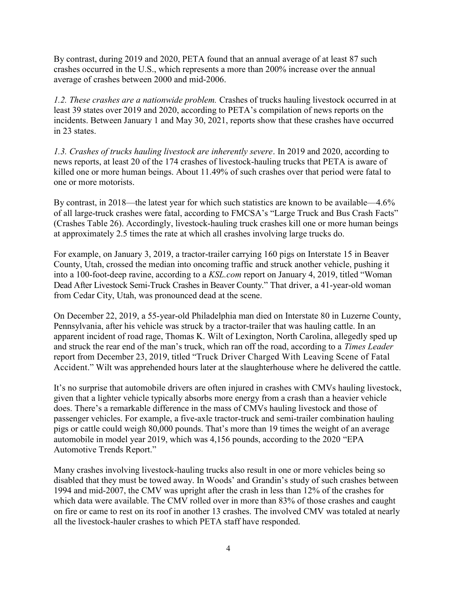By contrast, during 2019 and 2020, PETA found that an annual average of at least 87 such crashes occurred in the U.S., which represents a more than 200% increase over the annual average of crashes between 2000 and mid-2006.

1.2. These crashes are a nationwide problem. Crashes of trucks hauling livestock occurred in at least 39 states over 2019 and 2020, according to PETA's compilation of news reports on the incidents. Between January 1 and May 30, 2021, reports show that these crashes have occurred in 23 states.

1.3. Crashes of trucks hauling livestock are inherently severe. In 2019 and 2020, according to news reports, at least 20 of the 174 crashes of livestock-hauling trucks that PETA is aware of killed one or more human beings. About 11.49% of such crashes over that period were fatal to one or more motorists.

By contrast, in 2018—the latest year for which such statistics are known to be available—4.6% of all large-truck crashes were fatal, according to FMCSA's "Large Truck and Bus Crash Facts" (Crashes Table 26). Accordingly, livestock-hauling truck crashes kill one or more human beings at approximately 2.5 times the rate at which all crashes involving large trucks do.

For example, on January 3, 2019, a tractor-trailer carrying 160 pigs on Interstate 15 in Beaver County, Utah, crossed the median into oncoming traffic and struck another vehicle, pushing it into a 100-foot-deep ravine, according to a KSL.com report on January 4, 2019, titled "Woman Dead After Livestock Semi-Truck Crashes in Beaver County." That driver, a 41-year-old woman from Cedar City, Utah, was pronounced dead at the scene.

On December 22, 2019, a 55-year-old Philadelphia man died on Interstate 80 in Luzerne County, Pennsylvania, after his vehicle was struck by a tractor-trailer that was hauling cattle. In an apparent incident of road rage, Thomas K. Wilt of Lexington, North Carolina, allegedly sped up and struck the rear end of the man's truck, which ran off the road, according to a Times Leader report from December 23, 2019, titled "Truck Driver Charged With Leaving Scene of Fatal Accident." Wilt was apprehended hours later at the slaughterhouse where he delivered the cattle.

It's no surprise that automobile drivers are often injured in crashes with CMVs hauling livestock, given that a lighter vehicle typically absorbs more energy from a crash than a heavier vehicle does. There's a remarkable difference in the mass of CMVs hauling livestock and those of passenger vehicles. For example, a five-axle tractor-truck and semi-trailer combination hauling pigs or cattle could weigh 80,000 pounds. That's more than 19 times the weight of an average automobile in model year 2019, which was 4,156 pounds, according to the 2020 "EPA Automotive Trends Report."

Many crashes involving livestock-hauling trucks also result in one or more vehicles being so disabled that they must be towed away. In Woods' and Grandin's study of such crashes between 1994 and mid-2007, the CMV was upright after the crash in less than 12% of the crashes for which data were available. The CMV rolled over in more than 83% of those crashes and caught on fire or came to rest on its roof in another 13 crashes. The involved CMV was totaled at nearly all the livestock-hauler crashes to which PETA staff have responded.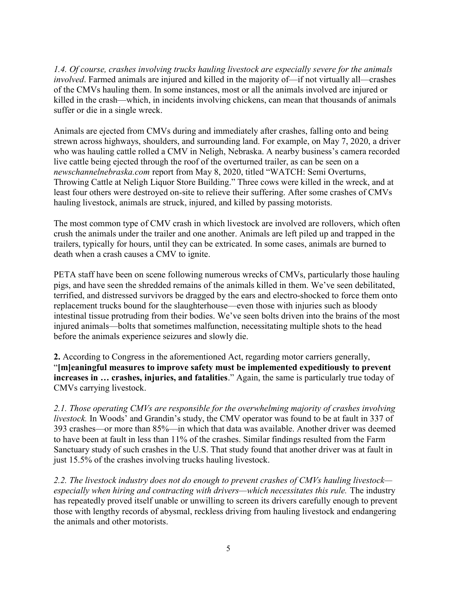1.4. Of course, crashes involving trucks hauling livestock are especially severe for the animals involved. Farmed animals are injured and killed in the majority of—if not virtually all—crashes of the CMVs hauling them. In some instances, most or all the animals involved are injured or killed in the crash—which, in incidents involving chickens, can mean that thousands of animals suffer or die in a single wreck.

Animals are ejected from CMVs during and immediately after crashes, falling onto and being strewn across highways, shoulders, and surrounding land. For example, on May 7, 2020, a driver who was hauling cattle rolled a CMV in Neligh, Nebraska. A nearby business's camera recorded live cattle being ejected through the roof of the overturned trailer, as can be seen on a newschannelnebraska.com report from May 8, 2020, titled "WATCH: Semi Overturns, Throwing Cattle at Neligh Liquor Store Building." Three cows were killed in the wreck, and at least four others were destroyed on-site to relieve their suffering. After some crashes of CMVs hauling livestock, animals are struck, injured, and killed by passing motorists.

The most common type of CMV crash in which livestock are involved are rollovers, which often crush the animals under the trailer and one another. Animals are left piled up and trapped in the trailers, typically for hours, until they can be extricated. In some cases, animals are burned to death when a crash causes a CMV to ignite.

PETA staff have been on scene following numerous wrecks of CMVs, particularly those hauling pigs, and have seen the shredded remains of the animals killed in them. We've seen debilitated, terrified, and distressed survivors be dragged by the ears and electro-shocked to force them onto replacement trucks bound for the slaughterhouse—even those with injuries such as bloody intestinal tissue protruding from their bodies. We've seen bolts driven into the brains of the most injured animals—bolts that sometimes malfunction, necessitating multiple shots to the head before the animals experience seizures and slowly die.

2. According to Congress in the aforementioned Act, regarding motor carriers generally, "[m]eaningful measures to improve safety must be implemented expeditiously to prevent increases in … crashes, injuries, and fatalities." Again, the same is particularly true today of CMVs carrying livestock.

2.1. Those operating CMVs are responsible for the overwhelming majority of crashes involving livestock. In Woods' and Grandin's study, the CMV operator was found to be at fault in 337 of 393 crashes—or more than 85%—in which that data was available. Another driver was deemed to have been at fault in less than 11% of the crashes. Similar findings resulted from the Farm Sanctuary study of such crashes in the U.S. That study found that another driver was at fault in just 15.5% of the crashes involving trucks hauling livestock.

2.2. The livestock industry does not do enough to prevent crashes of CMVs hauling livestock especially when hiring and contracting with drivers—which necessitates this rule. The industry has repeatedly proved itself unable or unwilling to screen its drivers carefully enough to prevent those with lengthy records of abysmal, reckless driving from hauling livestock and endangering the animals and other motorists.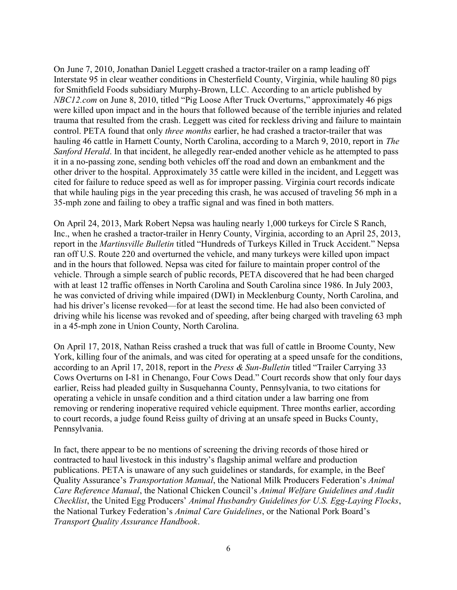On June 7, 2010, Jonathan Daniel Leggett crashed a tractor-trailer on a ramp leading off Interstate 95 in clear weather conditions in Chesterfield County, Virginia, while hauling 80 pigs for Smithfield Foods subsidiary Murphy-Brown, LLC. According to an article published by NBC12.com on June 8, 2010, titled "Pig Loose After Truck Overturns," approximately 46 pigs were killed upon impact and in the hours that followed because of the terrible injuries and related trauma that resulted from the crash. Leggett was cited for reckless driving and failure to maintain control. PETA found that only three months earlier, he had crashed a tractor-trailer that was hauling 46 cattle in Harnett County, North Carolina, according to a March 9, 2010, report in The Sanford Herald. In that incident, he allegedly rear-ended another vehicle as he attempted to pass it in a no-passing zone, sending both vehicles off the road and down an embankment and the other driver to the hospital. Approximately 35 cattle were killed in the incident, and Leggett was cited for failure to reduce speed as well as for improper passing. Virginia court records indicate that while hauling pigs in the year preceding this crash, he was accused of traveling 56 mph in a 35-mph zone and failing to obey a traffic signal and was fined in both matters.

On April 24, 2013, Mark Robert Nepsa was hauling nearly 1,000 turkeys for Circle S Ranch, Inc., when he crashed a tractor-trailer in Henry County, Virginia, according to an April 25, 2013, report in the Martinsville Bulletin titled "Hundreds of Turkeys Killed in Truck Accident." Nepsa ran off U.S. Route 220 and overturned the vehicle, and many turkeys were killed upon impact and in the hours that followed. Nepsa was cited for failure to maintain proper control of the vehicle. Through a simple search of public records, PETA discovered that he had been charged with at least 12 traffic offenses in North Carolina and South Carolina since 1986. In July 2003, he was convicted of driving while impaired (DWI) in Mecklenburg County, North Carolina, and had his driver's license revoked—for at least the second time. He had also been convicted of driving while his license was revoked and of speeding, after being charged with traveling 63 mph in a 45-mph zone in Union County, North Carolina.

On April 17, 2018, Nathan Reiss crashed a truck that was full of cattle in Broome County, New York, killing four of the animals, and was cited for operating at a speed unsafe for the conditions, according to an April 17, 2018, report in the Press & Sun-Bulletin titled "Trailer Carrying 33 Cows Overturns on I-81 in Chenango, Four Cows Dead." Court records show that only four days earlier, Reiss had pleaded guilty in Susquehanna County, Pennsylvania, to two citations for operating a vehicle in unsafe condition and a third citation under a law barring one from removing or rendering inoperative required vehicle equipment. Three months earlier, according to court records, a judge found Reiss guilty of driving at an unsafe speed in Bucks County, Pennsylvania.

In fact, there appear to be no mentions of screening the driving records of those hired or contracted to haul livestock in this industry's flagship animal welfare and production publications. PETA is unaware of any such guidelines or standards, for example, in the Beef Quality Assurance's Transportation Manual, the National Milk Producers Federation's Animal Care Reference Manual, the National Chicken Council's Animal Welfare Guidelines and Audit Checklist, the United Egg Producers' Animal Husbandry Guidelines for U.S. Egg-Laying Flocks, the National Turkey Federation's Animal Care Guidelines, or the National Pork Board's Transport Quality Assurance Handbook.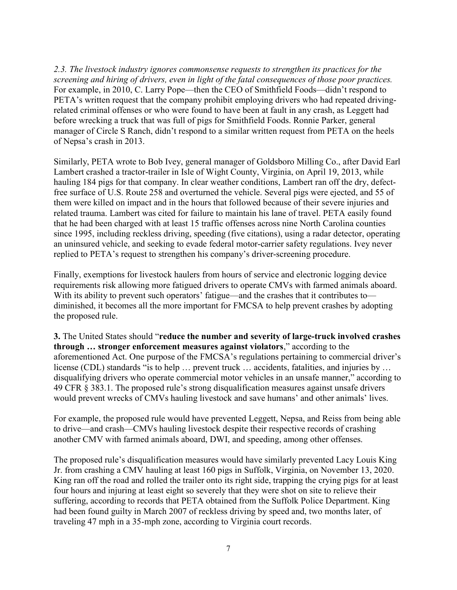2.3. The livestock industry ignores commonsense requests to strengthen its practices for the screening and hiring of drivers, even in light of the fatal consequences of those poor practices. For example, in 2010, C. Larry Pope—then the CEO of Smithfield Foods—didn't respond to PETA's written request that the company prohibit employing drivers who had repeated drivingrelated criminal offenses or who were found to have been at fault in any crash, as Leggett had before wrecking a truck that was full of pigs for Smithfield Foods. Ronnie Parker, general manager of Circle S Ranch, didn't respond to a similar written request from PETA on the heels of Nepsa's crash in 2013.

Similarly, PETA wrote to Bob Ivey, general manager of Goldsboro Milling Co., after David Earl Lambert crashed a tractor-trailer in Isle of Wight County, Virginia, on April 19, 2013, while hauling 184 pigs for that company. In clear weather conditions, Lambert ran off the dry, defectfree surface of U.S. Route 258 and overturned the vehicle. Several pigs were ejected, and 55 of them were killed on impact and in the hours that followed because of their severe injuries and related trauma. Lambert was cited for failure to maintain his lane of travel. PETA easily found that he had been charged with at least 15 traffic offenses across nine North Carolina counties since 1995, including reckless driving, speeding (five citations), using a radar detector, operating an uninsured vehicle, and seeking to evade federal motor-carrier safety regulations. Ivey never replied to PETA's request to strengthen his company's driver-screening procedure.

Finally, exemptions for livestock haulers from hours of service and electronic logging device requirements risk allowing more fatigued drivers to operate CMVs with farmed animals aboard. With its ability to prevent such operators' fatigue—and the crashes that it contributes to diminished, it becomes all the more important for FMCSA to help prevent crashes by adopting the proposed rule.

3. The United States should "reduce the number and severity of large-truck involved crashes through … stronger enforcement measures against violators," according to the aforementioned Act. One purpose of the FMCSA's regulations pertaining to commercial driver's license (CDL) standards "is to help … prevent truck … accidents, fatalities, and injuries by … disqualifying drivers who operate commercial motor vehicles in an unsafe manner," according to 49 CFR § 383.1. The proposed rule's strong disqualification measures against unsafe drivers would prevent wrecks of CMVs hauling livestock and save humans' and other animals' lives.

For example, the proposed rule would have prevented Leggett, Nepsa, and Reiss from being able to drive—and crash—CMVs hauling livestock despite their respective records of crashing another CMV with farmed animals aboard, DWI, and speeding, among other offenses.

The proposed rule's disqualification measures would have similarly prevented Lacy Louis King Jr. from crashing a CMV hauling at least 160 pigs in Suffolk, Virginia, on November 13, 2020. King ran off the road and rolled the trailer onto its right side, trapping the crying pigs for at least four hours and injuring at least eight so severely that they were shot on site to relieve their suffering, according to records that PETA obtained from the Suffolk Police Department. King had been found guilty in March 2007 of reckless driving by speed and, two months later, of traveling 47 mph in a 35-mph zone, according to Virginia court records.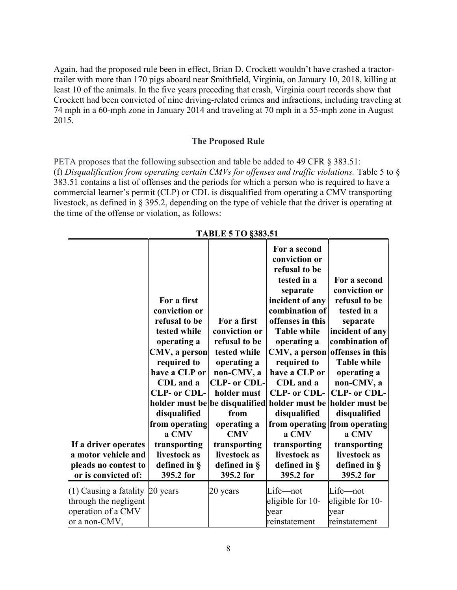Again, had the proposed rule been in effect, Brian D. Crockett wouldn't have crashed a tractortrailer with more than 170 pigs aboard near Smithfield, Virginia, on January 10, 2018, killing at least 10 of the animals. In the five years preceding that crash, Virginia court records show that Crockett had been convicted of nine driving-related crimes and infractions, including traveling at 74 mph in a 60-mph zone in January 2014 and traveling at 70 mph in a 55-mph zone in August 2015.

#### The Proposed Rule

PETA proposes that the following subsection and table be added to 49 CFR § 383.51: (f) Disqualification from operating certain CMVs for offenses and traffic violations. Table 5 to  $\S$ 383.51 contains a list of offenses and the periods for which a person who is required to have a commercial learner's permit (CLP) or CDL is disqualified from operating a CMV transporting livestock, as defined in § 395.2, depending on the type of vehicle that the driver is operating at the time of the offense or violation, as follows:

| If a driver operates<br>a motor vehicle and<br>pleads no contest to<br>or is convicted of:        | For a first<br>conviction or<br>refusal to be<br>tested while<br>operating a<br>CMV, a person<br>required to<br>have a CLP or<br>CDL and a<br>CLP- or CDL-<br>holder must be be disqualified<br>disqualified<br>from operating<br>a CMV<br>transporting<br>livestock as<br>defined in §<br>395.2 for | For a first<br>conviction or<br>refusal to be<br>tested while<br>operating a<br>non-CMV, a<br><b>CLP- or CDL-</b><br>holder must<br>from<br>operating a<br><b>CMV</b><br>transporting<br>livestock as<br>defined in §<br>395.2 for | For a second<br>conviction or<br>refusal to be<br>tested in a<br>separate<br>incident of any<br>combination of<br>offenses in this<br><b>Table while</b><br>operating a<br>CMV, a person offenses in this<br>required to<br>have a CLP or<br>CDL and a<br><b>CLP- or CDL-</b><br>holder must be holder must be<br>disqualified<br>from operating from operating<br>a CMV<br>transporting<br>livestock as<br>defined in §<br>395.2 for | For a second<br>conviction or<br>refusal to be<br>tested in a<br>separate<br>incident of any<br>combination of<br><b>Table while</b><br>operating a<br>non-CMV, a<br>CLP- or CDL-<br>disqualified<br>a CMV<br>transporting<br>livestock as<br>defined in §<br>395.2 for |
|---------------------------------------------------------------------------------------------------|------------------------------------------------------------------------------------------------------------------------------------------------------------------------------------------------------------------------------------------------------------------------------------------------------|------------------------------------------------------------------------------------------------------------------------------------------------------------------------------------------------------------------------------------|---------------------------------------------------------------------------------------------------------------------------------------------------------------------------------------------------------------------------------------------------------------------------------------------------------------------------------------------------------------------------------------------------------------------------------------|-------------------------------------------------------------------------------------------------------------------------------------------------------------------------------------------------------------------------------------------------------------------------|
| $(1)$ Causing a fatality 20 years<br>through the negligent<br>operation of a CMV<br>or a non-CMV, |                                                                                                                                                                                                                                                                                                      | 20 years                                                                                                                                                                                                                           | Life-not<br>eligible for 10-<br>vear<br>reinstatement                                                                                                                                                                                                                                                                                                                                                                                 | Life-not<br>eligible for 10-<br>year<br>reinstatement                                                                                                                                                                                                                   |

TABLE 5 TO §383.51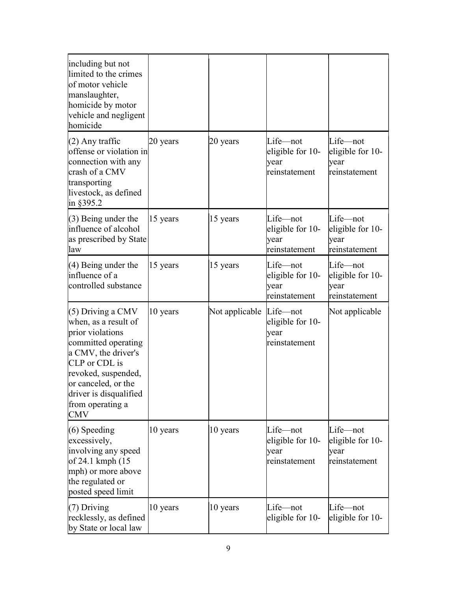| including but not<br>limited to the crimes<br>of motor vehicle<br>manslaughter,<br>homicide by motor<br>vehicle and negligent<br>homicide                                                                                                |          |                |                                                       |                                                        |
|------------------------------------------------------------------------------------------------------------------------------------------------------------------------------------------------------------------------------------------|----------|----------------|-------------------------------------------------------|--------------------------------------------------------|
| $(2)$ Any traffic<br>offense or violation in<br>connection with any<br>crash of a CMV<br>transporting<br>livestock, as defined<br>in §395.2                                                                                              | 20 years | 20 years       | Life-not<br>eligible for 10-<br>year<br>reinstatement | Life—not<br>eligible for 10-<br> year<br>reinstatement |
| $(3)$ Being under the<br>influence of alcohol<br>as prescribed by State<br>law                                                                                                                                                           | 15 years | 15 years       | Life-not<br>eligible for 10-<br>year<br>reinstatement | Life-not<br>eligible for 10-<br> year<br>reinstatement |
| $(4)$ Being under the<br>influence of a<br>controlled substance                                                                                                                                                                          | 15 years | 15 years       | Life-not<br>eligible for 10-<br>year<br>reinstatement | Life—not<br>eligible for 10-<br> year<br>reinstatement |
| $(5)$ Driving a CMV<br>when, as a result of<br>prior violations<br>committed operating<br>a CMV, the driver's<br>CLP or CDL is<br>revoked, suspended,<br>or canceled, or the<br>driver is disqualified<br>from operating a<br><b>CMV</b> | 10 years | Not applicable | Life-not<br>eligible for 10-<br>year<br>reinstatement | Not applicable                                         |
| $(6)$ Speeding<br>excessively,<br>involving any speed<br>of 24.1 kmph (15<br>mph) or more above<br>the regulated or<br>posted speed limit                                                                                                | 10 years | 10 years       | Life-not<br>eligible for 10-<br>year<br>reinstatement | Life-not<br>eligible for 10-<br> year<br>reinstatement |
| $(7)$ Driving<br>recklessly, as defined<br>by State or local law                                                                                                                                                                         | 10 years | 10 years       | Life-not<br>eligible for 10-                          | Life-not<br>eligible for 10-                           |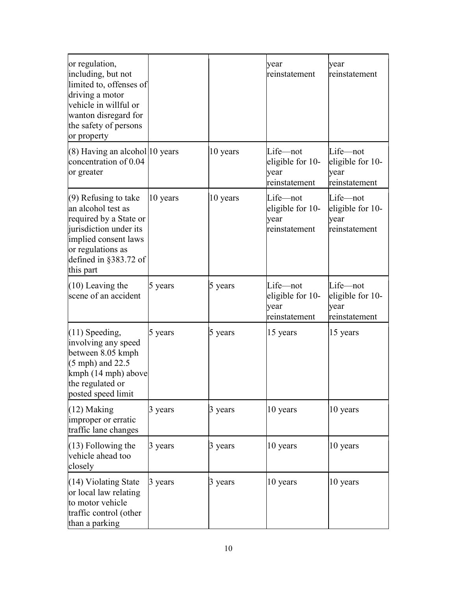| or regulation,<br>including, but not<br>limited to, offenses of<br>driving a motor<br>vehicle in willful or<br>wanton disregard for<br>the safety of persons<br>or property         |          |          | year<br>reinstatement                                 | year<br>reinstatement                                 |
|-------------------------------------------------------------------------------------------------------------------------------------------------------------------------------------|----------|----------|-------------------------------------------------------|-------------------------------------------------------|
| $(8)$ Having an alcohol 10 years<br>concentration of 0.04<br>or greater                                                                                                             |          | 10 years | Life-not<br>eligible for 10-<br>year<br>reinstatement | Life—not<br>eligible for 10-<br>year<br>reinstatement |
| $(9)$ Refusing to take<br>an alcohol test as<br>required by a State or<br>jurisdiction under its<br>implied consent laws<br>or regulations as<br>defined in §383.72 of<br>this part | 10 years | 10 years | Life—not<br>eligible for 10-<br>year<br>reinstatement | Life—not<br>eligible for 10-<br>year<br>reinstatement |
| $(10)$ Leaving the<br>scene of an accident                                                                                                                                          | 5 years  | 5 years  | Life-not<br>eligible for 10-<br>year<br>reinstatement | Life—not<br>eligible for 10-<br>year<br>reinstatement |
| $(11)$ Speeding,<br>involving any speed<br>between 8.05 kmph<br>$(5 \text{ mph})$ and 22.5<br>kmph (14 mph) above<br>the regulated or<br>posted speed limit                         | 5 years  | 5 years  | 15 years                                              | 15 years                                              |
| $(12)$ Making<br>improper or erratic<br>traffic lane changes                                                                                                                        | 3 years  | 3 years  | 10 years                                              | 10 years                                              |
| $(13)$ Following the<br>vehicle ahead too<br>closely                                                                                                                                | 3 years  | 3 years  | 10 years                                              | 10 years                                              |
| $(14)$ Violating State<br>or local law relating<br>to motor vehicle<br>traffic control (other<br>than a parking                                                                     | 3 years  | 3 years  | 10 years                                              | 10 years                                              |